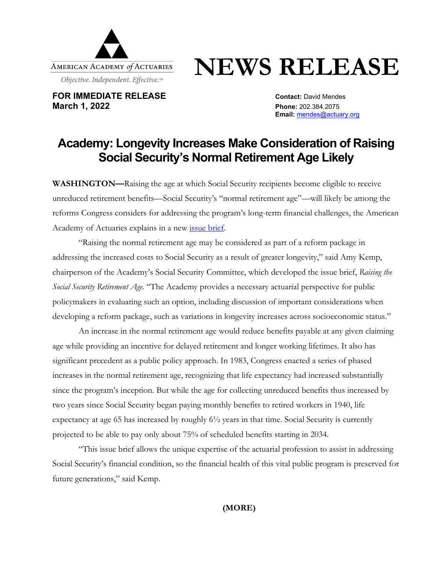

## **NEWS RELEASE**

**FOR IMMEDIATE RELEASE CONTACT:** David Mendes **March 1, 2022 Phone:** 202.384.2075

**Email:** [mendes@actuary.org](mailto:mendes@actuary.org)

## **Academy: Longevity Increases Make Consideration of Raising Social Security's Normal Retirement Age Likely**

**WASHINGTON—**Raising the age at which Social Security recipients become eligible to receive unreduced retirement benefits—Social Security's "normal retirement age"—will likely be among the reforms Congress considers for addressing the program's long-term financial challenges, the American Academy of Actuaries explains in a new [issue brief.](https://www.actuary.org/sites/default/files/2022-03/SocialSecurityRetirementAge_0.pdf)

"Raising the normal retirement age may be considered as part of a reform package in addressing the increased costs to Social Security as a result of greater longevity," said Amy Kemp, chairperson of the Academy's Social Security Committee, which developed the issue brief, *Raising the Social Security Retirement Age*. "The Academy provides a necessary actuarial perspective for public policymakers in evaluating such an option, including discussion of important considerations when developing a reform package, such as variations in longevity increases across socioeconomic status."

An increase in the normal retirement age would reduce benefits payable at any given claiming age while providing an incentive for delayed retirement and longer working lifetimes. It also has significant precedent as a public policy approach. In 1983, Congress enacted a series of phased increases in the normal retirement age, recognizing that life expectancy had increased substantially since the program's inception. But while the age for collecting unreduced benefits thus increased by two years since Social Security began paying monthly benefits to retired workers in 1940, life expectancy at age 65 has increased by roughly 6½ years in that time. Social Security is currently projected to be able to pay only about 75% of scheduled benefits starting in 2034.

"This issue brief allows the unique expertise of the actuarial profession to assist in addressing Social Security's financial condition, so the financial health of this vital public program is preserved for future generations," said Kemp.

**(MORE)**